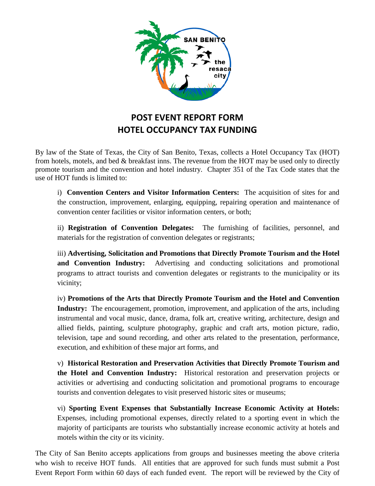

## **POST EVENT REPORT FORM HOTEL OCCUPANCY TAX FUNDING**

By law of the State of Texas, the City of San Benito, Texas, collects a Hotel Occupancy Tax (HOT) from hotels, motels, and bed & breakfast inns. The revenue from the HOT may be used only to directly promote tourism and the convention and hotel industry. Chapter 351 of the Tax Code states that the use of HOT funds is limited to:

i) **Convention Centers and Visitor Information Centers:** The acquisition of sites for and the construction, improvement, enlarging, equipping, repairing operation and maintenance of convention center facilities or visitor information centers, or both;

ii) **Registration of Convention Delegates:** The furnishing of facilities, personnel, and materials for the registration of convention delegates or registrants;

iii) **Advertising, Solicitation and Promotions that Directly Promote Tourism and the Hotel and Convention Industry:** Advertising and conducting solicitations and promotional programs to attract tourists and convention delegates or registrants to the municipality or its vicinity;

iv) **Promotions of the Arts that Directly Promote Tourism and the Hotel and Convention Industry:** The encouragement, promotion, improvement, and application of the arts, including instrumental and vocal music, dance, drama, folk art, creative writing, architecture, design and allied fields, painting, sculpture photography, graphic and craft arts, motion picture, radio, television, tape and sound recording, and other arts related to the presentation, performance, execution, and exhibition of these major art forms, and

v) **Historical Restoration and Preservation Activities that Directly Promote Tourism and the Hotel and Convention Industry:** Historical restoration and preservation projects or activities or advertising and conducting solicitation and promotional programs to encourage tourists and convention delegates to visit preserved historic sites or museums;

vi) **Sporting Event Expenses that Substantially Increase Economic Activity at Hotels:**  Expenses, including promotional expenses, directly related to a sporting event in which the majority of participants are tourists who substantially increase economic activity at hotels and motels within the city or its vicinity.

The City of San Benito accepts applications from groups and businesses meeting the above criteria who wish to receive HOT funds. All entities that are approved for such funds must submit a Post Event Report Form within 60 days of each funded event. The report will be reviewed by the City of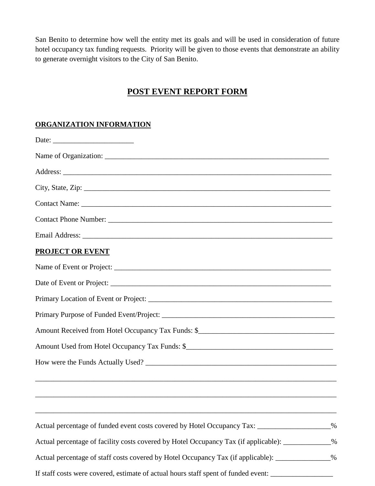San Benito to determine how well the entity met its goals and will be used in consideration of future hotel occupancy tax funding requests. Priority will be given to those events that demonstrate an ability to generate overnight visitors to the City of San Benito.

## **POST EVENT REPORT FORM**

## **ORGANIZATION INFORMATION**

| City, State, Zip: 2008. Experience of the State of Table 2014. The State of Table 2014. The State of Table 201 |  |
|----------------------------------------------------------------------------------------------------------------|--|
|                                                                                                                |  |
|                                                                                                                |  |
|                                                                                                                |  |
| <b>PROJECT OR EVENT</b>                                                                                        |  |
|                                                                                                                |  |
|                                                                                                                |  |
|                                                                                                                |  |
|                                                                                                                |  |
|                                                                                                                |  |
|                                                                                                                |  |
|                                                                                                                |  |
| ,我们也不能在这里的时候,我们也不能在这里的时候,我们也不能在这里的时候,我们也不能会在这里的时候,我们也不能会在这里的时候,我们也不能会在这里的时候,我们也不能                              |  |
| Actual percentage of funded event costs covered by Hotel Occupancy Tax: ________________%                      |  |
| Actual percentage of facility costs covered by Hotel Occupancy Tax (if applicable): ____________%              |  |
| Actual percentage of staff costs covered by Hotel Occupancy Tax (if applicable): _____________%                |  |
| If staff costs were covered, estimate of actual hours staff spent of funded event:                             |  |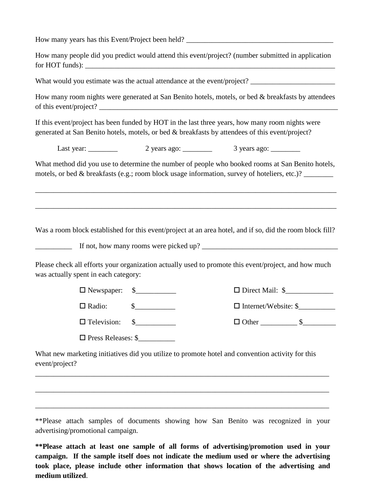How many years has this Event/Project been held?

| How many people did you predict would attend this event/project? (number submitted in application |  |
|---------------------------------------------------------------------------------------------------|--|
| for HOT funds):                                                                                   |  |

What would you estimate was the actual attendance at the event/project? \_\_\_\_\_\_\_\_\_\_\_\_\_\_\_

How many room nights were generated at San Benito hotels, motels, or bed & breakfasts by attendees of this event/project? \_\_\_\_\_\_\_\_\_\_\_\_\_\_\_\_\_\_\_\_\_\_\_\_\_\_\_\_\_\_\_\_\_\_\_\_\_\_\_\_\_\_\_\_\_\_\_\_\_\_\_\_\_\_\_\_\_\_\_\_\_\_\_\_\_

If this event/project has been funded by HOT in the last three years, how many room nights were generated at San Benito hotels, motels, or bed & breakfasts by attendees of this event/project?

Last year: \_\_\_\_\_\_\_\_\_ 2 years ago: \_\_\_\_\_\_\_\_ 3 years ago: \_\_\_\_\_\_\_\_

What method did you use to determine the number of people who booked rooms at San Benito hotels, motels, or bed & breakfasts (e.g.; room block usage information, survey of hoteliers, etc.)?

\_\_\_\_\_\_\_\_\_\_\_\_\_\_\_\_\_\_\_\_\_\_\_\_\_\_\_\_\_\_\_\_\_\_\_\_\_\_\_\_\_\_\_\_\_\_\_\_\_\_\_\_\_\_\_\_\_\_\_\_\_\_\_\_\_\_\_\_\_\_\_\_\_\_\_\_\_\_\_\_\_\_

\_\_\_\_\_\_\_\_\_\_\_\_\_\_\_\_\_\_\_\_\_\_\_\_\_\_\_\_\_\_\_\_\_\_\_\_\_\_\_\_\_\_\_\_\_\_\_\_\_\_\_\_\_\_\_\_\_\_\_\_\_\_\_\_\_\_\_\_\_\_\_\_\_\_\_\_\_\_\_\_\_\_

Was a room block established for this event/project at an area hotel, and if so, did the room block fill?

If not, how many rooms were picked up?

Please check all efforts your organization actually used to promote this event/project, and how much was actually spent in each category:

 $\square$  Newspaper:  $\quad \quad \$$   $\square$  Direct Mail:  $\quad \quad \blacksquare$ 

Radio: \$\_\_\_\_\_\_\_\_\_\_\_ Internet/Website: \$\_\_\_\_\_\_\_\_\_\_

□ Press Releases: \$

 $\Box$  Television:  $\Box$  S

What new marketing initiatives did you utilize to promote hotel and convention activity for this event/project?

\_\_\_\_\_\_\_\_\_\_\_\_\_\_\_\_\_\_\_\_\_\_\_\_\_\_\_\_\_\_\_\_\_\_\_\_\_\_\_\_\_\_\_\_\_\_\_\_\_\_\_\_\_\_\_\_\_\_\_\_\_\_\_\_\_\_\_\_\_\_\_\_\_\_\_\_\_\_\_\_

\_\_\_\_\_\_\_\_\_\_\_\_\_\_\_\_\_\_\_\_\_\_\_\_\_\_\_\_\_\_\_\_\_\_\_\_\_\_\_\_\_\_\_\_\_\_\_\_\_\_\_\_\_\_\_\_\_\_\_\_\_\_\_\_\_\_\_\_\_\_\_\_\_\_\_\_\_\_\_\_

\_\_\_\_\_\_\_\_\_\_\_\_\_\_\_\_\_\_\_\_\_\_\_\_\_\_\_\_\_\_\_\_\_\_\_\_\_\_\_\_\_\_\_\_\_\_\_\_\_\_\_\_\_\_\_\_\_\_\_\_\_\_\_\_\_\_\_\_\_\_\_\_\_\_\_\_\_\_\_\_

\*\*Please attach samples of documents showing how San Benito was recognized in your advertising/promotional campaign.

**\*\*Please attach at least one sample of all forms of advertising/promotion used in your campaign. If the sample itself does not indicate the medium used or where the advertising took place, please include other information that shows location of the advertising and medium utilized**.